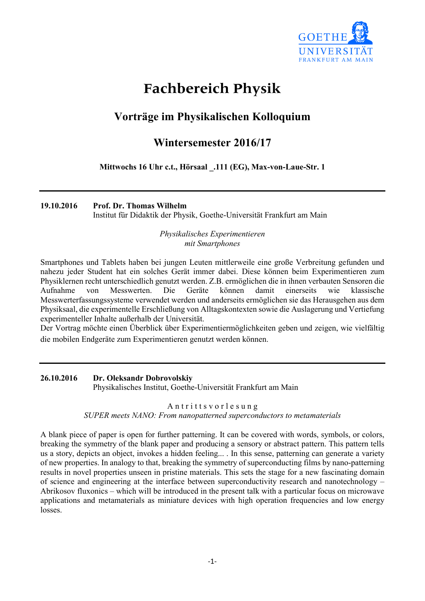

# **Fachbereich Physik**

## **Vorträge im Physikalischen Kolloquium**

## **Wintersemester 2016/17**

**Mittwochs 16 Uhr c.t., Hörsaal \_.111 (EG), Max-von-Laue-Str. 1**

**19.10.2016 Prof. Dr. Thomas Wilhelm**

Institut für Didaktik der Physik, Goethe-Universität Frankfurt am Main

*Physikalisches Experimentieren mit Smartphones*

Smartphones und Tablets haben bei jungen Leuten mittlerweile eine große Verbreitung gefunden und nahezu jeder Student hat ein solches Gerät immer dabei. Diese können beim Experimentieren zum Physiklernen recht unterschiedlich genutzt werden. Z.B. ermöglichen die in ihnen verbauten Sensoren die Aufnahme von Messwerten. Die Geräte können damit einerseits wie klassische Messwerterfassungssysteme verwendet werden und anderseits ermöglichen sie das Herausgehen aus dem Physiksaal, die experimentelle Erschließung von Alltagskontexten sowie die Auslagerung und Vertiefung experimenteller Inhalte außerhalb der Universität.

Der Vortrag möchte einen Überblick über Experimentiermöglichkeiten geben und zeigen, wie vielfältig die mobilen Endgeräte zum Experimentieren genutzt werden können.

**26.10.2016 Dr. Oleksandr Dobrovolskiy** Physikalisches Institut, Goethe-Universität Frankfurt am Main

## Antritts vor les ung *SUPER meets NANO: From nanopatterned superconductors to metamaterials*

A blank piece of paper is open for further patterning. It can be covered with words, symbols, or colors, breaking the symmetry of the blank paper and producing a sensory or abstract pattern. This pattern tells us a story, depicts an object, invokes a hidden feeling... . In this sense, patterning can generate a variety of new properties. In analogy to that, breaking the symmetry of superconducting films by nano-patterning results in novel properties unseen in pristine materials. This sets the stage for a new fascinating domain of science and engineering at the interface between superconductivity research and nanotechnology – Abrikosov fluxonics – which will be introduced in the present talk with a particular focus on microwave applications and metamaterials as miniature devices with high operation frequencies and low energy losses.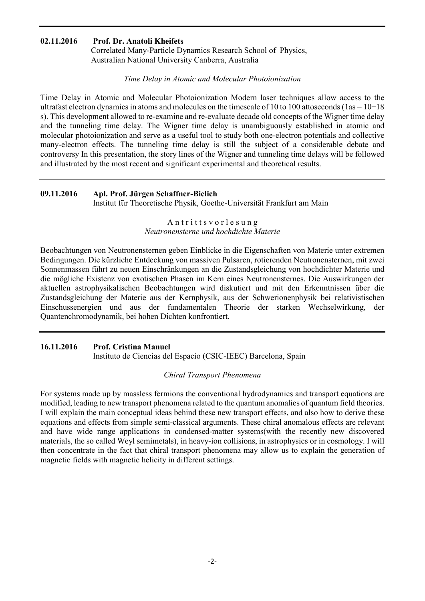## **02.11.2016 Prof. Dr. Anatoli Kheifets**

Correlated Many-Particle Dynamics Research School of Physics, Australian National University Canberra, Australia

#### *Time Delay in Atomic and Molecular Photoionization*

Time Delay in Atomic and Molecular Photoionization Modern laser techniques allow access to the ultrafast electron dynamics in atoms and molecules on the timescale of 10 to 100 attoseconds (1as = 10−18 s). This development allowed to re-examine and re-evaluate decade old concepts of the Wigner time delay and the tunneling time delay. The Wigner time delay is unambiguously established in atomic and molecular photoionization and serve as a useful tool to study both one-electron potentials and collective many-electron effects. The tunneling time delay is still the subject of a considerable debate and controversy In this presentation, the story lines of the Wigner and tunneling time delays will be followed and illustrated by the most recent and significant experimental and theoretical results.

#### **09.11.2016 Apl. Prof. Jürgen Schaffner-Bielich**

Institut für Theoretische Physik, Goethe-Universität Frankfurt am Main

### Antritts vor les ung *Neutronensterne und hochdichte Materie*

Beobachtungen von Neutronensternen geben Einblicke in die Eigenschaften von Materie unter extremen Bedingungen. Die kürzliche Entdeckung von massiven Pulsaren, rotierenden Neutronensternen, mit zwei Sonnenmassen führt zu neuen Einschränkungen an die Zustandsgleichung von hochdichter Materie und die mögliche Existenz von exotischen Phasen im Kern eines Neutronensternes. Die Auswirkungen der aktuellen astrophysikalischen Beobachtungen wird diskutiert und mit den Erkenntnissen über die Zustandsgleichung der Materie aus der Kernphysik, aus der Schwerionenphysik bei relativistischen Einschussenergien und aus der fundamentalen Theorie der starken Wechselwirkung, der Quantenchromodynamik, bei hohen Dichten konfrontiert.

## **16.11.2016 Prof. Cristina Manuel**

Instituto de Ciencias del Espacio (CSIC-IEEC) Barcelona, Spain

#### *Chiral Transport Phenomena*

For systems made up by massless fermions the conventional hydrodynamics and transport equations are modified, leading to new transport phenomena related to the quantum anomalies of quantum field theories. I will explain the main conceptual ideas behind these new transport effects, and also how to derive these equations and effects from simple semi-classical arguments. These chiral anomalous effects are relevant and have wide range applications in condensed-matter systems(with the recently new discovered materials, the so called Weyl semimetals), in heavy-ion collisions, in astrophysics or in cosmology. I will then concentrate in the fact that chiral transport phenomena may allow us to explain the generation of magnetic fields with magnetic helicity in different settings.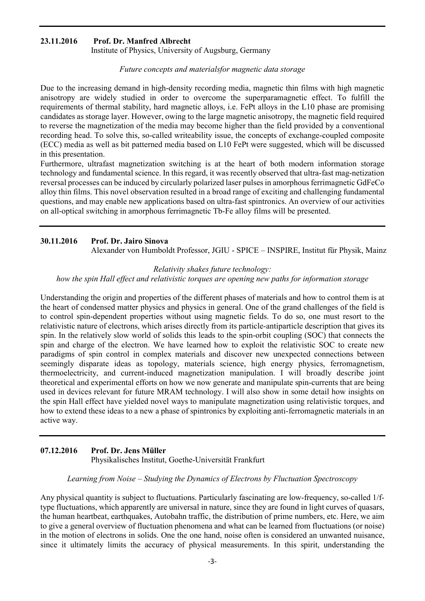#### **23.11.2016 Prof. Dr. Manfred Albrecht**

Institute of Physics, University of Augsburg, Germany

#### *Future concepts and materialsfor magnetic data storage*

Due to the increasing demand in high-density recording media, magnetic thin films with high magnetic anisotropy are widely studied in order to overcome the superparamagnetic effect. To fulfill the requirements of thermal stability, hard magnetic alloys, i.e. FePt alloys in the L10 phase are promising candidates as storage layer. However, owing to the large magnetic anisotropy, the magnetic field required to reverse the magnetization of the media may become higher than the field provided by a conventional recording head. To solve this, so-called writeability issue, the concepts of exchange-coupled composite (ECC) media as well as bit patterned media based on L10 FePt were suggested, which will be discussed in this presentation.

Furthermore, ultrafast magnetization switching is at the heart of both modern information storage technology and fundamental science. In this regard, it was recently observed that ultra-fast mag-netization reversal processes can be induced by circularly polarized laser pulses in amorphous ferrimagnetic GdFeCo alloy thin films. This novel observation resulted in a broad range of exciting and challenging fundamental questions, and may enable new applications based on ultra-fast spintronics. An overview of our activities on all-optical switching in amorphous ferrimagnetic Tb-Fe alloy films will be presented.

#### **30.11.2016 Prof. Dr. Jairo Sinova**

Alexander von Humboldt Professor, JGIU - SPICE – INSPIRE, Institut für Physik, Mainz

#### *Relativity shakes future technology:*

*how the spin Hall effect and relativistic torques are opening new paths for information storage*

Understanding the origin and properties of the different phases of materials and how to control them is at the heart of condensed matter physics and physics in general. One of the grand challenges of the field is to control spin-dependent properties without using magnetic fields. To do so, one must resort to the relativistic nature of electrons, which arises directly from its particle-antiparticle description that gives its spin. In the relatively slow world of solids this leads to the spin-orbit coupling (SOC) that connects the spin and charge of the electron. We have learned how to exploit the relativistic SOC to create new paradigms of spin control in complex materials and discover new unexpected connections between seemingly disparate ideas as topology, materials science, high energy physics, ferromagnetism, thermoelectricity, and current-induced magnetization manipulation. I will broadly describe joint theoretical and experimental efforts on how we now generate and manipulate spin-currents that are being used in devices relevant for future MRAM technology. I will also show in some detail how insights on the spin Hall effect have yielded novel ways to manipulate magnetization using relativistic torques, and how to extend these ideas to a new a phase of spintronics by exploiting anti-ferromagnetic materials in an active way.

#### **07.12.2016 Prof. Dr. Jens Müller** Physikalisches Institut, Goethe-Universität Frankfurt

#### *Learning from Noise – Studying the Dynamics of Electrons by Fluctuation Spectroscopy*

Any physical quantity is subject to fluctuations. Particularly fascinating are low-frequency, so-called 1/ftype fluctuations, which apparently are universal in nature, since they are found in light curves of quasars, the human heartbeat, earthquakes, Autobahn traffic, the distribution of prime numbers, etc. Here, we aim to give a general overview of fluctuation phenomena and what can be learned from fluctuations (or noise) in the motion of electrons in solids. One the one hand, noise often is considered an unwanted nuisance, since it ultimately limits the accuracy of physical measurements. In this spirit, understanding the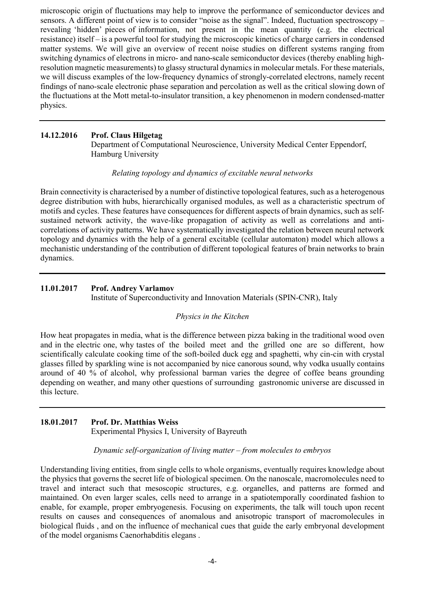microscopic origin of fluctuations may help to improve the performance of semiconductor devices and sensors. A different point of view is to consider "noise as the signal". Indeed, fluctuation spectroscopy – revealing 'hidden' pieces of information, not present in the mean quantity (e.g. the electrical resistance) itself – is a powerful tool for studying the microscopic kinetics of charge carriers in condensed matter systems. We will give an overview of recent noise studies on different systems ranging from switching dynamics of electrons in micro- and nano-scale semiconductor devices (thereby enabling highresolution magnetic measurements) to glassy structural dynamics in molecular metals. For these materials, we will discuss examples of the low-frequency dynamics of strongly-correlated electrons, namely recent findings of nano-scale electronic phase separation and percolation as well as the critical slowing down of the fluctuations at the Mott metal-to-insulator transition, a key phenomenon in modern condensed-matter physics.

## **14.12.2016 Prof. Claus Hilgetag**

Department of Computational Neuroscience, University Medical Center Eppendorf, Hamburg University

## *Relating topology and dynamics of excitable neural networks*

Brain connectivity is characterised by a number of distinctive topological features, such as a heterogenous degree distribution with hubs, hierarchically organised modules, as well as a characteristic spectrum of motifs and cycles. These features have consequences for different aspects of brain dynamics, such as selfsustained network activity, the wave-like propagation of activity as well as correlations and anticorrelations of activity patterns. We have systematically investigated the relation between neural network topology and dynamics with the help of a general excitable (cellular automaton) model which allows a mechanistic understanding of the contribution of different topological features of brain networks to brain dynamics.

## **11.01.2017 Prof. Andrey Varlamov**

Institute of Superconductivity and Innovation Materials (SPIN-CNR), Italy

## *Physics in the Kitchen*

How heat propagates in media, what is the difference between pizza baking in the traditional wood oven and in the electric one, why tastes of the boiled meet and the grilled one are so different, how scientifically calculate cooking time of the soft-boiled duck egg and spaghetti, why cin-cin with crystal glasses filled by sparkling wine is not accompanied by nice canorous sound, why vodka usually contains around of 40 % of alcohol, why professional barman varies the degree of coffee beans grounding depending on weather, and many other questions of surrounding gastronomic universe are discussed in this lecture.

## **18.01.2017 Prof. Dr. Matthias Weiss**

Experimental Physics I, University of Bayreuth

#### *Dynamic self-organization of living matter – from molecules to embryos*

Understanding living entities, from single cells to whole organisms, eventually requires knowledge about the physics that governs the secret life of biological specimen. On the nanoscale, macromolecules need to travel and interact such that mesoscopic structures, e.g. organelles, and patterns are formed and maintained. On even larger scales, cells need to arrange in a spatiotemporally coordinated fashion to enable, for example, proper embryogenesis. Focusing on experiments, the talk will touch upon recent results on causes and consequences of anomalous and anisotropic transport of macromolecules in biological fluids , and on the influence of mechanical cues that guide the early embryonal development of the model organisms Caenorhabditis elegans .